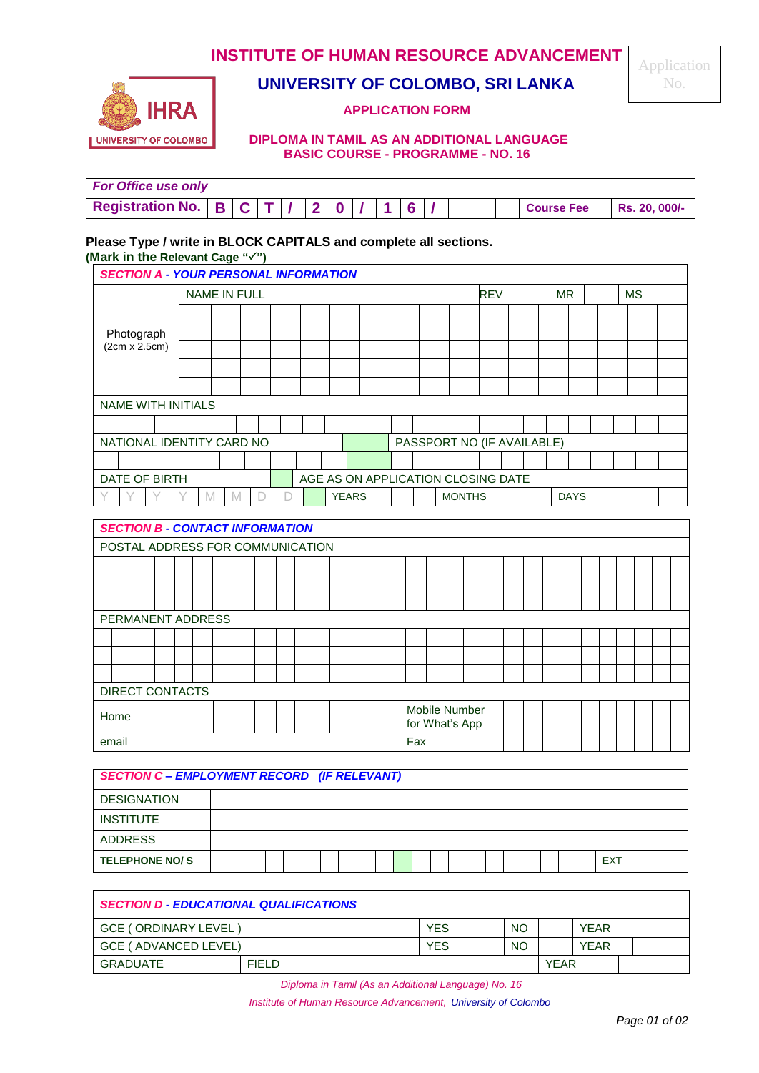## **INSTITUTE OF HUMAN RESOURCE ADVANCEMENT**



# **UNIVERSITY OF COLOMBO, SRI LANKA**

#### **APPLICATION FORM**

#### **DIPLOMA IN TAMIL AS AN ADDITIONAL LANGUAGE BASIC COURSE - PROGRAMME - NO. 16**

| <b>For Office use only</b>                     |  |  |  |  |  |  |                   |               |
|------------------------------------------------|--|--|--|--|--|--|-------------------|---------------|
| Registration No.   $B   C   T   /   2   0   /$ |  |  |  |  |  |  | <b>Course Fee</b> | Rs. 20, 000/- |

### **Please Type / write in BLOCK CAPITALS and complete all sections.**

**(Mark in the Relevant Cage "")**

| <b>SECTION A - YOUR PERSONAL INFORMATION</b> |                                    |        |  |  |  |  |              |  |  |  |            |               |                            |  |  |             |  |  |  |
|----------------------------------------------|------------------------------------|--------|--|--|--|--|--------------|--|--|--|------------|---------------|----------------------------|--|--|-------------|--|--|--|
|                                              | <b>NAME IN FULL</b>                |        |  |  |  |  |              |  |  |  | <b>REV</b> |               | <b>MR</b>                  |  |  | <b>MS</b>   |  |  |  |
|                                              |                                    |        |  |  |  |  |              |  |  |  |            |               |                            |  |  |             |  |  |  |
| Photograph                                   |                                    |        |  |  |  |  |              |  |  |  |            |               |                            |  |  |             |  |  |  |
| (2cm x 2.5cm)                                |                                    |        |  |  |  |  |              |  |  |  |            |               |                            |  |  |             |  |  |  |
|                                              |                                    |        |  |  |  |  |              |  |  |  |            |               |                            |  |  |             |  |  |  |
|                                              |                                    |        |  |  |  |  |              |  |  |  |            |               |                            |  |  |             |  |  |  |
|                                              | <b>NAME WITH INITIALS</b>          |        |  |  |  |  |              |  |  |  |            |               |                            |  |  |             |  |  |  |
|                                              |                                    |        |  |  |  |  |              |  |  |  |            |               |                            |  |  |             |  |  |  |
| NATIONAL IDENTITY CARD NO                    |                                    |        |  |  |  |  |              |  |  |  |            |               | PASSPORT NO (IF AVAILABLE) |  |  |             |  |  |  |
|                                              |                                    |        |  |  |  |  |              |  |  |  |            |               |                            |  |  |             |  |  |  |
| DATE OF BIRTH                                | AGE AS ON APPLICATION CLOSING DATE |        |  |  |  |  |              |  |  |  |            |               |                            |  |  |             |  |  |  |
|                                              |                                    | М<br>M |  |  |  |  | <b>YEARS</b> |  |  |  |            | <b>MONTHS</b> |                            |  |  | <b>DAYS</b> |  |  |  |

| <b>SECTION B - CONTACT INFORMATION</b> |  |  |  |  |  |  |  |                                 |  |  |  |  |  |  |  |
|----------------------------------------|--|--|--|--|--|--|--|---------------------------------|--|--|--|--|--|--|--|
| POSTAL ADDRESS FOR COMMUNICATION       |  |  |  |  |  |  |  |                                 |  |  |  |  |  |  |  |
|                                        |  |  |  |  |  |  |  |                                 |  |  |  |  |  |  |  |
|                                        |  |  |  |  |  |  |  |                                 |  |  |  |  |  |  |  |
|                                        |  |  |  |  |  |  |  |                                 |  |  |  |  |  |  |  |
| PERMANENT ADDRESS                      |  |  |  |  |  |  |  |                                 |  |  |  |  |  |  |  |
|                                        |  |  |  |  |  |  |  |                                 |  |  |  |  |  |  |  |
|                                        |  |  |  |  |  |  |  |                                 |  |  |  |  |  |  |  |
|                                        |  |  |  |  |  |  |  |                                 |  |  |  |  |  |  |  |
| DIRECT CONTACTS                        |  |  |  |  |  |  |  |                                 |  |  |  |  |  |  |  |
| Home                                   |  |  |  |  |  |  |  | Mobile Number<br>for What's App |  |  |  |  |  |  |  |
| email                                  |  |  |  |  |  |  |  | Fax                             |  |  |  |  |  |  |  |

|                       | <b>SECTION C - EMPLOYMENT RECORD (IF RELEVANT)</b> |  |  |  |  |  |  |  |  |  |  |  |  |  |            |  |
|-----------------------|----------------------------------------------------|--|--|--|--|--|--|--|--|--|--|--|--|--|------------|--|
| <b>DESIGNATION</b>    |                                                    |  |  |  |  |  |  |  |  |  |  |  |  |  |            |  |
| <b>INSTITUTE</b>      |                                                    |  |  |  |  |  |  |  |  |  |  |  |  |  |            |  |
| ADDRESS               |                                                    |  |  |  |  |  |  |  |  |  |  |  |  |  |            |  |
| <b>TELEPHONE NO/S</b> |                                                    |  |  |  |  |  |  |  |  |  |  |  |  |  | <b>EXT</b> |  |

| <b>SECTION D - EDUCATIONAL QUALIFICATIONS</b> |            |            |             |             |             |  |
|-----------------------------------------------|------------|------------|-------------|-------------|-------------|--|
| GCE (ORDINARY LEVEL)                          |            | <b>YES</b> | <b>NO</b>   |             | <b>YFAR</b> |  |
| GCE (ADVANCED LEVEL)                          | <b>YES</b> | <b>NO</b>  |             | <b>YEAR</b> |             |  |
| GRADUATE                                      |            |            | <b>YEAR</b> |             |             |  |

*Diploma in Tamil (As an Additional Language) No. 16*

*Institute of Human Resource Advancement, University of Colombo*